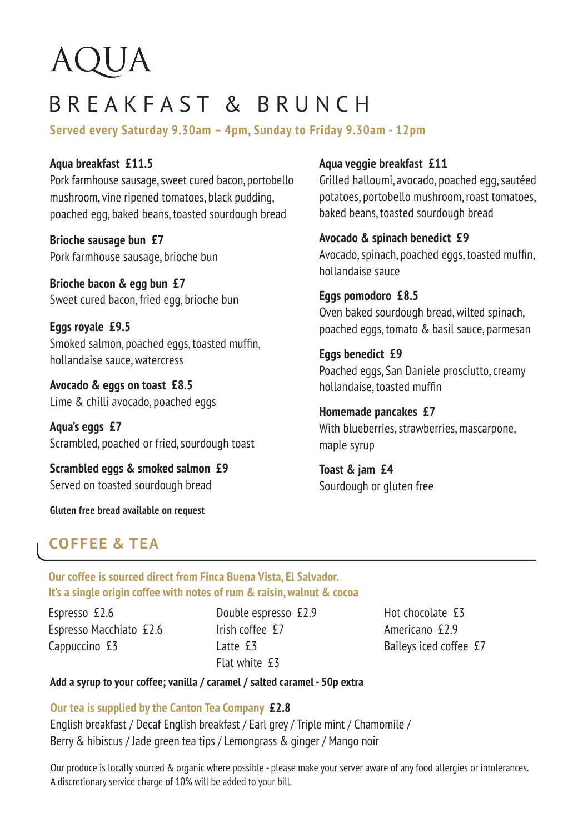# AQUA

# BREAKFAST & BRUNCH

**Served every Saturday 9.30am – 4pm, Sunday to Friday 9.30am - 12pm**

**Aqua breakfast £11.5** Pork farmhouse sausage, sweet cured bacon, portobello mushroom, vine ripened tomatoes, black pudding, poached egg, baked beans, toasted sourdough bread

**Brioche sausage bun £7** Pork farmhouse sausage, brioche bun

**Brioche bacon & egg bun £7** Sweet cured bacon, fried egg, brioche bun

**Eggs royale £9.5** Smoked salmon, poached eggs, toasted muffin, hollandaise sauce, watercress

**Avocado & eggs on toast £8.5** Lime & chilli avocado, poached eggs

**Aqua's eggs £7** Scrambled, poached or fried, sourdough toast

**Scrambled eggs & smoked salmon £9** Served on toasted sourdough bread

**Gluten free bread available on request**

#### **Aqua veggie breakfast £11**

Grilled halloumi, avocado, poached egg, sautéed potatoes, portobello mushroom, roast tomatoes, baked beans, toasted sourdough bread

#### **Avocado & spinach benedict £9**

Avocado, spinach, poached eggs, toasted muffin, hollandaise sauce

**Eggs pomodoro £8.5** Oven baked sourdough bread, wilted spinach, poached eggs, tomato & basil sauce, parmesan

**Eggs benedict £9** Poached eggs, San Daniele prosciutto, creamy hollandaise, toasted muffin

**Homemade pancakes £7** With blueberries, strawberries, mascarpone, maple syrup

**Toast & jam £4** Sourdough or gluten free

### **COFFEE & TEA**

**Our coffee is sourced direct from Finca Buena Vista, El Salvador. It's a single origin coffee with notes of rum & raisin, walnut & cocoa**

Espresso £2.6 Espresso Macchiato £2.6 Cappuccino £3

Double espresso £2.9 Irish coffee £7 Latte **£3** Flat white £3

Hot chocolate £3 Americano £2.9 Baileys iced coffee £7

#### **Add a syrup to your coffee; vanilla / caramel / salted caramel - 50p extra**

**Our tea is supplied by the Canton Tea Company £2.8** 

English breakfast / Decaf English breakfast / Earl grey / Triple mint / Chamomile / Berry & hibiscus / Jade green tea tips / Lemongrass & ginger / Mango noir

Our produce is locally sourced & organic where possible - please make your server aware of any food allergies or intolerances. A discretionary service charge of 10% will be added to your bill.